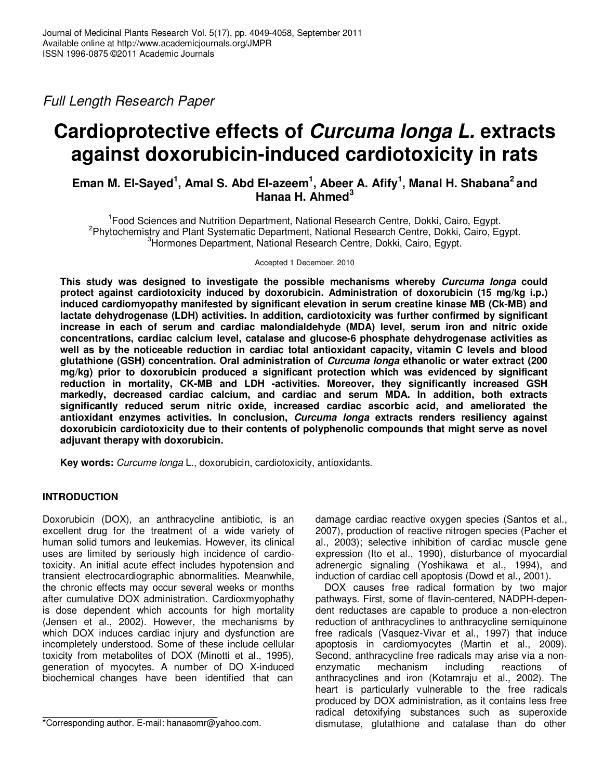Full Length Research Paper

# **Cardioprotective effects of Curcuma longa L. extracts against doxorubicin-induced cardiotoxicity in rats**

## **Eman M. El-Sayed<sup>1</sup> , Amal S. Abd El-azeem<sup>1</sup> , Abeer A. Afify<sup>1</sup> , Manal H. Shabana<sup>2</sup>and Hanaa H. Ahmed<sup>3</sup>**

<sup>1</sup> Food Sciences and Nutrition Department, National Research Centre, Dokki, Cairo, Egypt. <sup>2</sup>Phytochemistry and Plant Systematic Department, National Research Centre, Dokki, Cairo, Egypt. <sup>3</sup>Hormones Department, National Research Centre, Dokki, Cairo, Egypt.

Accepted 1 December, 2010

**This study was designed to investigate the possible mechanisms whereby Curcuma longa could protect against cardiotoxicity induced by doxorubicin. Administration of doxorubicin (15 mg/kg i.p.) induced cardiomyopathy manifested by significant elevation in serum creatine kinase MB (Ck-MB) and lactate dehydrogenase (LDH) activities. In addition, cardiotoxicity was further confirmed by significant increase in each of serum and cardiac malondialdehyde (MDA) level, serum iron and nitric oxide concentrations, cardiac calcium level, catalase and glucose-6 phosphate dehydrogenase activities as well as by the noticeable reduction in cardiac total antioxidant capacity, vitamin C levels and blood glutathione (GSH) concentration. Oral administration of Curcuma longa ethanolic or water extract (200 mg/kg) prior to doxorubicin produced a significant protection which was evidenced by significant reduction in mortality, CK-MB and LDH -activities. Moreover, they significantly increased GSH markedly, decreased cardiac calcium, and cardiac and serum MDA. In addition, both extracts significantly reduced serum nitric oxide, increased cardiac ascorbic acid, and ameliorated the antioxidant enzymes activities. In conclusion, Curcuma longa extracts renders resiliency against doxorubicin cardiotoxicity due to their contents of polyphenolic compounds that might serve as novel adjuvant therapy with doxorubicin.** 

**Key words:** Curcume longa L., doxorubicin, cardiotoxicity, antioxidants.

## **INTRODUCTION**

Doxorubicin (DOX), an anthracycline antibiotic, is an excellent drug for the treatment of a wide variety of human solid tumors and leukemias. However, its clinical uses are limited by seriously high incidence of cardiotoxicity. An initial acute effect includes hypotension and transient electrocardiographic abnormalities. Meanwhile, the chronic effects may occur several weeks or months after cumulative DOX administration. Cardioxmyophathy is dose dependent which accounts for high mortality (Jensen et al., 2002). However, the mechanisms by which DOX induces cardiac injury and dysfunction are incompletely understood. Some of these include cellular toxicity from metabolites of DOX (Minotti et al., 1995), generation of myocytes. A number of DO X-induced biochemical changes have been identified that can

damage cardiac reactive oxygen species (Santos et al., 2007), production of reactive nitrogen species (Pacher et al., 2003); selective inhibition of cardiac muscle gene expression (Ito et al., 1990), disturbance of myocardial adrenergic signaling (Yoshikawa et al., 1994), and induction of cardiac cell apoptosis (Dowd et al., 2001).

DOX causes free radical formation by two major pathways. First, some of flavin-centered, NADPH-dependent reductases are capable to produce a non-electron reduction of anthracyclines to anthracycline semiquinone free radicals (Vasquez-Vivar et al., 1997) that induce apoptosis in cardiomyocytes (Martin et al., 2009). Second, anthracycline free radicals may arise via a nonenzymatic mechanism including reactions of anthracyclines and iron (Kotamraju et al., 2002). The heart is particularly vulnerable to the free radicals produced by DOX administration, as it contains less free radical detoxifying substances such as superoxide dismutase, glutathione and catalase than do other

<sup>\*</sup>Corresponding author. E-mail: hanaaomr@yahoo.com.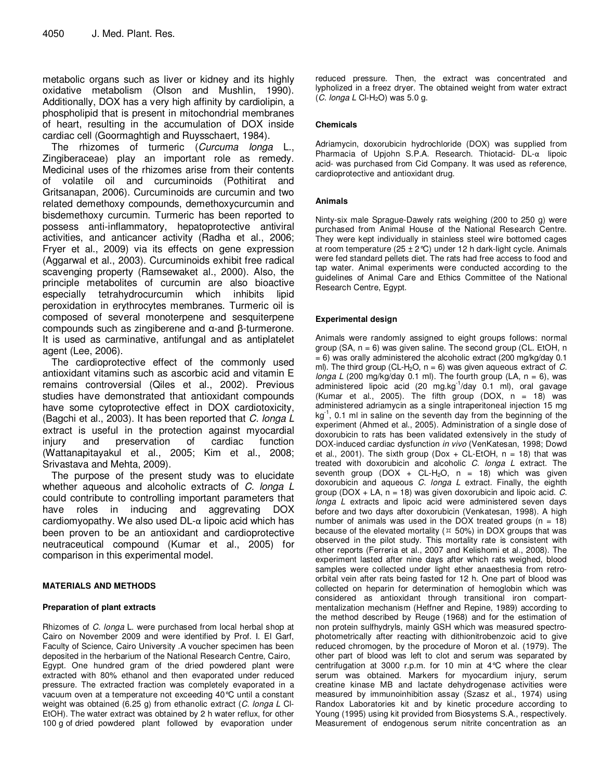metabolic organs such as liver or kidney and its highly oxidative metabolism (Olson and Mushlin, 1990). Additionally, DOX has a very high affinity by cardiolipin, a phospholipid that is present in mitochondrial membranes of heart, resulting in the accumulation of DOX inside cardiac cell (Goormaghtigh and Ruysschaert, 1984).

The rhizomes of turmeric (Curcuma longa L., Zingiberaceae) play an important role as remedy. Medicinal uses of the rhizomes arise from their contents of volatile oil and curcuminoids (Pothitirat and Gritsanapan, 2006). Curcuminoids are curcumin and two related demethoxy compounds, demethoxycurcumin and bisdemethoxy curcumin. Turmeric has been reported to possess anti-inflammatory, hepatoprotective antiviral activities, and anticancer activity (Radha et al., 2006; Fryer et al., 2009) via its effects on gene expression (Aggarwal et al., 2003). Curcuminoids exhibit free radical scavenging property (Ramsewaket al., 2000). Also, the principle metabolites of curcumin are also bioactive especially tetrahydrocurcumin which inhibits lipid peroxidation in erythrocytes membranes. Turmeric oil is composed of several monoterpene and sesquiterpene compounds such as zingiberene and α-and β-turmerone. It is used as carminative, antifungal and as antiplatelet agent (Lee, 2006).

The cardioprotective effect of the commonly used antioxidant vitamins such as ascorbic acid and vitamin E remains controversial (Qiles et al., 2002). Previous studies have demonstrated that antioxidant compounds have some cytoprotective effect in DOX cardiotoxicity, (Bagchi et al., 2003). It has been reported that C. longa L extract is useful in the protection against myocardial injury and preservation of cardiac function (Wattanapitayakul et al., 2005; Kim et al., 2008; Srivastava and Mehta, 2009).

The purpose of the present study was to elucidate whether aqueous and alcoholic extracts of C. longa L could contribute to controlling important parameters that have roles in inducing and aggrevating DOX cardiomyopathy. We also used DL-α lipoic acid which has been proven to be an antioxidant and cardioprotective neutraceutical compound (Kumar et al., 2005) for comparison in this experimental model.

### **MATERIALS AND METHODS**

#### **Preparation of plant extracts**

Rhizomes of C. longa L. were purchased from local herbal shop at Cairo on November 2009 and were identified by Prof. I. El Garf, Faculty of Science, Cairo University .A voucher specimen has been deposited in the herbarium of the National Research Centre, Cairo, Egypt. One hundred gram of the dried powdered plant were extracted with 80% ethanol and then evaporated under reduced pressure. The extracted fraction was completely evaporated in a vacuum oven at a temperature not exceeding 40°C until a constant weight was obtained (6.25 g) from ethanolic extract (C. longa L CI-EtOH). The water extract was obtained by 2 h water reflux, for other 100 g of dried powdered plant followed by evaporation under

reduced pressure. Then, the extract was concentrated and lypholized in a freez dryer. The obtained weight from water extract  $(C.$  longa L Cl-H<sub>2</sub>O) was 5.0 g.

#### **Chemicals**

Adriamycin, doxorubicin hydrochloride (DOX) was supplied from Pharmacia of Upjohn S.P.A. Research. Thiotacid- DL-α lipoic acid- was purchased from Cid Company. It was used as reference, cardioprotective and antioxidant drug.

#### **Animals**

Ninty-six male Sprague-Dawely rats weighing (200 to 250 g) were purchased from Animal House of the National Research Centre. They were kept individually in stainless steel wire bottomed cages at room temperature (25  $\pm$  2°C) under 12 h dark-light cycle. Animals were fed standard pellets diet. The rats had free access to food and tap water. Animal experiments were conducted according to the guidelines of Animal Care and Ethics Committee of the National Research Centre, Egypt.

#### **Experimental design**

Animals were randomly assigned to eight groups follows: normal group  $(SA, n = 6)$  was given saline. The second group  $(CL. E<sub>t</sub>OH, n)$  $= 6$ ) was orally administered the alcoholic extract (200 mg/kg/day 0.1 ml). The third group (CL-H<sub>2</sub>O,  $n = 6$ ) was given aqueous extract of C. longa L (200 mg/kg/day 0.1 ml). The fourth group (LA,  $n = 6$ ), was administered lipoic acid (20 mg.kg<sup>-1</sup>/day 0.1 ml), oral gavage (Kumar et al., 2005). The fifth group (DOX,  $n = 18$ ) was administered adriamycin as a single intraperitoneal injection 15 mg  $kg<sup>-1</sup>$ , 0.1 ml in saline on the seventh day from the beginning of the experiment (Ahmed et al., 2005). Administration of a single dose of doxorubicin to rats has been validated extensively in the study of DOX-induced cardiac dysfunction in vivo (VenKatesan, 1998; Dowd et al., 2001). The sixth group (Dox + CL-EtOH,  $n = 18$ ) that was treated with doxorubicin and alcoholic  $C$ . longa  $L$  extract. The seventh group (DOX + CL-H<sub>2</sub>O,  $n = 18$ ) which was given doxorubicin and aqueous C. longa L extract. Finally, the eighth group (DOX  $+$  LA,  $n = 18$ ) was given doxorubicin and lipoic acid. C. longa L extracts and lipoic acid were administered seven days before and two days after doxorubicin (Venkatesan, 1998). A high number of animals was used in the DOX treated groups  $(n = 18)$ because of the elevated mortality ( $\text{\texttt{m}}$  50%) in DOX groups that was observed in the pilot study. This mortality rate is consistent with other reports (Ferreria et al., 2007 and Kelishomi et al., 2008). The experiment lasted after nine days after which rats weighed, blood samples were collected under light ether anaesthesia from retroorbital vein after rats being fasted for 12 h. One part of blood was collected on heparin for determination of hemoglobin which was considered as antioxidant through transitional iron compartmentalization mechanism (Heffner and Repine, 1989) according to the method described by Reuge (1968) and for the estimation of non protein sulfhydryls, mainly GSH which was measured spectrophotometrically after reacting with dithionitrobenzoic acid to give reduced chromogen, by the procedure of Moron et al. (1979). The other part of blood was left to clot and serum was separated by centrifugation at 3000 r.p.m. for 10 min at 4°C where the clear serum was obtained. Markers for myocardium injury, serum creatine kinase MB and lactate dehydrogenase activities were measured by immunoinhibition assay (Szasz et al., 1974) using Randox Laboratories kit and by kinetic procedure according to Young (1995) using kit provided from Biosystems S.A., respectively. Measurement of endogenous serum nitrite concentration as an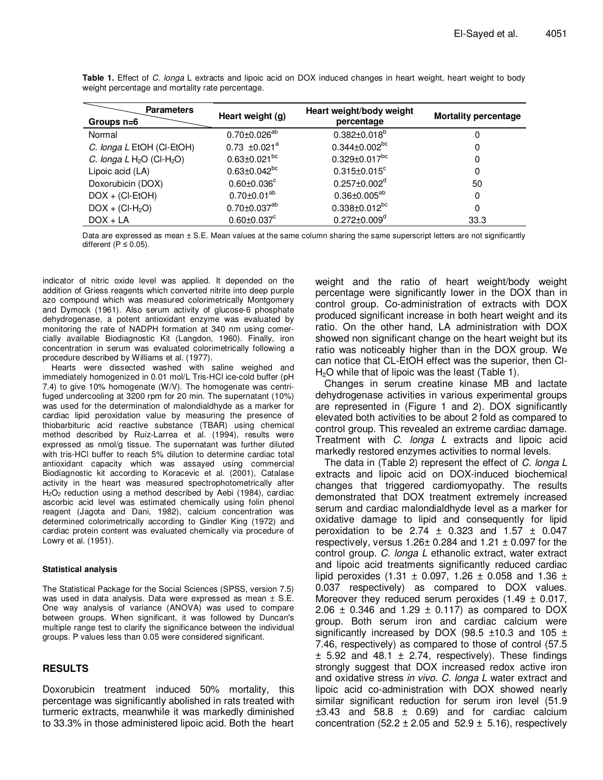| <b>Parameters</b><br>Groups n=6         | Heart weight (g)               | Heart weight/body weight<br>percentage | <b>Mortality percentage</b> |  |
|-----------------------------------------|--------------------------------|----------------------------------------|-----------------------------|--|
| Normal                                  | $0.70 \pm 0.026^{ab}$          | $0.382 \pm 0.018^b$                    | 0                           |  |
| C. longa L EtOH (CI-EtOH)               | $0.73 \pm 0.021^a$             | $0.344 \pm 0.002^{bc}$                 | 0                           |  |
| C. longa $L H_2O$ (Cl-H <sub>2</sub> O) | $0.63 \pm 0.021$ <sup>bc</sup> | $0.329 \pm 0.017$ <sup>bc</sup>        | 0                           |  |
| Lipoic acid (LA)                        | $0.63 \pm 0.042$ <sup>bc</sup> | $0.315 \pm 0.015$ <sup>c</sup>         | 0                           |  |
| Doxorubicin (DOX)                       | $0.60 \pm 0.036$ °             | $0.257 \pm 0.002^d$                    | 50                          |  |
| $DOX + (CI-EtOH)$                       | $0.70 \pm 0.01^{ab}$           | $0.36 \pm 0.005^{ab}$                  | 0                           |  |
| $DOX + (CI-H2O)$                        | $0.70 \pm 0.037^{ab}$          | $0.338 \pm 0.012^{bc}$                 | 0                           |  |
| $DOX + LA$                              | $0.60 \pm 0.037$ <sup>c</sup>  | $0.272 \pm 0.009$ <sup>d</sup>         | 33.3                        |  |

**Table 1.** Effect of C. longa L extracts and lipoic acid on DOX induced changes in heart weight, heart weight to body weight percentage and mortality rate percentage.

Data are expressed as mean ± S.E. Mean values at the same column sharing the same superscript letters are not significantly different ( $P \le 0.05$ ).

indicator of nitric oxide level was applied. It depended on the addition of Griess reagents which converted nitrite into deep purple azo compound which was measured colorimetrically Montgomery and Dymock (1961). Also serum activity of glucose-6 phosphate dehydrogenase, a potent antioxidant enzyme was evaluated by monitoring the rate of NADPH formation at 340 nm using comercially available Biodiagnostic Kit (Langdon, 1960). Finally, iron concentration in serum was evaluated colorimetrically following a procedure described by Williams et al. (1977).

Hearts were dissected washed with saline weighed and immediately homogenized in 0.01 mol/L Tris-HCl ice-cold buffer (pH 7.4) to give 10% homogenate (W/V). The homogenate was centrifuged undercooling at 3200 rpm for 20 min. The supernatant (10%) was used for the determination of malondialdhyde as a marker for cardiac lipid peroxidation value by measuring the presence of thiobarbituric acid reactive substance (TBAR) using chemical method described by Ruiz-Larrea et al. (1994), results were expressed as nmol/g tissue. The supernatant was further diluted with tris-HCl buffer to reach 5% dilution to determine cardiac total antioxidant capacity which was assayed using commercial Biodiagnostic kit according to Koracevic et al. (2001), Catalase activity in the heart was measured spectrophotometrically after  $H<sub>2</sub>O<sub>2</sub>$  reduction using a method described by Aebi (1984), cardiac ascorbic acid level was estimated chemically using folin phenol reagent (Jagota and Dani, 1982), calcium concentration was determined colorimetrically according to Gindler King (1972) and cardiac protein content was evaluated chemically via procedure of Lowry et al. (1951).

#### **Statistical analysis**

The Statistical Package for the Social Sciences (SPSS, version 7.5) was used in data analysis. Data were expressed as mean ± S.E. One way analysis of variance (ANOVA) was used to compare between groups. When significant, it was followed by Duncan's multiple range test to clarify the significance between the individual groups. P values less than 0.05 were considered significant.

## **RESULTS**

Doxorubicin treatment induced 50% mortality, this percentage was significantly abolished in rats treated with turmeric extracts, meanwhile it was markedly diminished to 33.3% in those administered lipoic acid. Both the heart

weight and the ratio of heart weight/body weight percentage were significantly lower in the DOX than in control group. Co-administration of extracts with DOX produced significant increase in both heart weight and its ratio. On the other hand, LA administration with DOX showed non significant change on the heart weight but its ratio was noticeably higher than in the DOX group. We can notice that CL-EtOH effect was the superior, then Cl-H<sub>2</sub>O while that of lipoic was the least (Table 1).

Changes in serum creatine kinase MB and lactate dehydrogenase activities in various experimental groups are represented in (Figure 1 and 2). DOX significantly elevated both activities to be about 2 fold as compared to control group. This revealed an extreme cardiac damage. Treatment with C. longa L extracts and lipoic acid markedly restored enzymes activities to normal levels.

The data in (Table 2) represent the effect of C. longa L extracts and lipoic acid on DOX-induced biochemical changes that triggered cardiomyopathy. The results demonstrated that DOX treatment extremely increased serum and cardiac malondialdhyde level as a marker for oxidative damage to lipid and consequently for lipid peroxidation to be 2.74  $\pm$  0.323 and 1.57  $\pm$  0.047 respectively, versus  $1.26 \pm 0.284$  and  $1.21 \pm 0.097$  for the control group. C. longa L ethanolic extract, water extract and lipoic acid treatments significantly reduced cardiac lipid peroxides  $(1.31 \pm 0.097, 1.26 \pm 0.058$  and 1.36  $\pm$ 0.037 respectively) as compared to DOX values. Moreover they reduced serum peroxides  $(1.49 \pm 0.017,$ 2.06  $\pm$  0.346 and 1.29  $\pm$  0.117) as compared to DOX group. Both serum iron and cardiac calcium were significantly increased by DOX (98.5  $\pm$ 10.3 and 105  $\pm$ 7.46, respectively) as compared to those of control (57.5  $\pm$  5.92 and 48.1  $\pm$  2.74, respectively). These findings strongly suggest that DOX increased redox active iron and oxidative stress in vivo. C. longa L water extract and lipoic acid co-administration with DOX showed nearly similar significant reduction for serum iron level (51.9  $\pm 3.43$  and 58.8  $\pm$  0.69) and for cardiac calcium concentration (52.2  $\pm$  2.05 and 52.9  $\pm$  5.16), respectively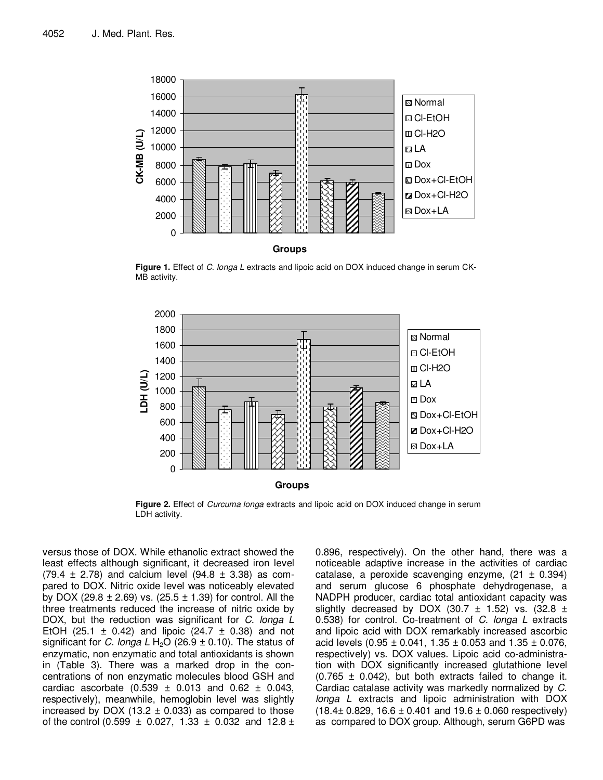

**Figure 1.** Effect of C. longa L extracts and lipoic acid on DOX induced change in serum CK-MB activity.



**Figure 2.** Effect of Curcuma longa extracts and lipoic acid on DOX induced change in serum LDH activity.

versus those of DOX. While ethanolic extract showed the least effects although significant, it decreased iron level  $(79.4 \pm 2.78)$  and calcium level  $(94.8 \pm 3.38)$  as compared to DOX. Nitric oxide level was noticeably elevated by DOX (29.8  $\pm$  2.69) vs. (25.5  $\pm$  1.39) for control. All the three treatments reduced the increase of nitric oxide by DOX, but the reduction was significant for C. longa L EtOH (25.1  $\pm$  0.42) and lipoic (24.7  $\pm$  0.38) and not significant for C. longa L H<sub>2</sub>O (26.9  $\pm$  0.10). The status of enzymatic, non enzymatic and total antioxidants is shown in (Table 3). There was a marked drop in the concentrations of non enzymatic molecules blood GSH and cardiac ascorbate  $(0.539 \pm 0.013$  and  $0.62 \pm 0.043$ , respectively), meanwhile, hemoglobin level was slightly increased by DOX (13.2  $\pm$  0.033) as compared to those of the control (0.599  $\pm$  0.027, 1.33  $\pm$  0.032 and 12.8  $\pm$  0.896, respectively). On the other hand, there was a noticeable adaptive increase in the activities of cardiac catalase, a peroxide scavenging enzyme,  $(21 \pm 0.394)$ and serum glucose 6 phosphate dehydrogenase, a NADPH producer, cardiac total antioxidant capacity was slightly decreased by DOX (30.7  $\pm$  1.52) vs. (32.8  $\pm$ 0.538) for control. Co-treatment of C. longa L extracts and lipoic acid with DOX remarkably increased ascorbic acid levels  $(0.95 \pm 0.041, 1.35 \pm 0.053$  and  $1.35 \pm 0.076,$ respectively) vs. DOX values. Lipoic acid co-administration with DOX significantly increased glutathione level  $(0.765 \pm 0.042)$ , but both extracts failed to change it. Cardiac catalase activity was markedly normalized by C. longa L extracts and lipoic administration with DOX  $(18.4 \pm 0.829, 16.6 \pm 0.401 \text{ and } 19.6 \pm 0.060 \text{ respectively})$ as compared to DOX group. Although, serum G6PD was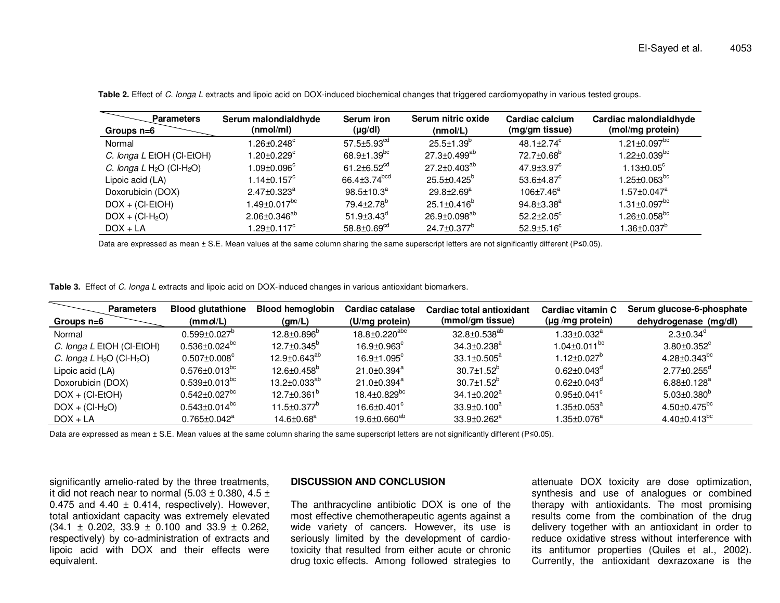| <b>Parameters</b>                       | Serum malondialdhyde          | Serum iron                     | Serum nitric oxide             | Cardiac calcium               | Cardiac malondialdhyde         |
|-----------------------------------------|-------------------------------|--------------------------------|--------------------------------|-------------------------------|--------------------------------|
| Groups $n=6$                            | (nmol/ml)                     | $(\mu g/dl)$                   | (mmol/L)                       | (mg/gm tissue)                | (mol/mg protein)               |
| Normal                                  | 1.26±0.248 <sup>c</sup>       | $57.5 \pm 5.93$ <sup>cd</sup>  | $25.5 \pm 1.39^{\circ}$        | 48.1 $\pm$ 2.74 $\textdegree$ | $1.21 \pm 0.097$ <sup>bc</sup> |
| C. longa L EtOH (CI-EtOH)               | 1.20 $\pm$ 0.229 $^{\circ}$   | $68.9 \pm 1.39 ^{\mathrm{bc}}$ | $27.3 \pm 0.499$ <sup>ab</sup> | 72.7±0.68 <sup>b</sup>        | $1.22 \pm 0.039^{bc}$          |
| C. longa $L H_2O$ (Cl-H <sub>2</sub> O) | 1.09 $\pm$ 0.096 $^{\circ}$   | $61.2 \pm 6.52^{cd}$           | $27.2 \pm 0.403^{ab}$          | $47.9 \pm 3.97$ <sup>c</sup>  | $1.13 \pm 0.05$ <sup>c</sup>   |
| Lipoic acid (LA)                        | $1.14\pm0.157^{\circ}$        | 66.4 $\pm$ 3.74 $^{\rm bcd}$   | $25.5 \pm 0.425^{\circ}$       | $53.6{\pm}4.87^c$             | $1.25 \pm 0.063^{bc}$          |
| Doxorubicin (DOX)                       | $2.47 \pm 0.323$ <sup>a</sup> | $98.5 \pm 10.3^a$              | $29.8 \pm 2.69^a$              | $106 \pm 7.46^a$              | $1.57 \pm 0.047$ <sup>a</sup>  |
| $DOX + (CI-EtOH)$                       | $1.49 \pm 0.017^{bc}$         | $79.4 \pm 2.78$ <sup>b</sup>   | $25.1 \pm 0.416^b$             | $94.8 \pm 3.38^a$             | $1.31 \pm 0.097$ <sup>bc</sup> |
| $DOX + (CI-H2O)$                        | $2.06 \pm 0.346^{ab}$         | $51.9\pm3.43^d$                | $26.9 \pm 0.098^{ab}$          | $52.2 \pm 2.05^{\circ}$       | $1.26 \pm 0.058$ <sup>bc</sup> |
| $DOX + LA$                              | 1.29±0.117 $^{\circ}$         | $58.8 \pm 0.69^{cd}$           | 24.7±0.377 <sup>b</sup>        | $52.9{\pm}5.16^c$             | $1.36 \pm 0.037^b$             |

**Table 2.** Effect of C. longa L extracts and lipoic acid on DOX-induced biochemical changes that triggered cardiomyopathy in various tested groups.

Data are expressed as mean ± S.E. Mean values at the same column sharing the same superscript letters are not significantly different (P≤0.05).

**Table 3.** Effect of C. longa L extracts and lipoic acid on DOX-induced changes in various antioxidant biomarkers.

| <b>Parameters</b>                       | <b>Blood glutathione</b>         | <b>Blood hemoglobin</b>      | Cardiac catalase               | Cardiac total antioxidant     | Cardiac vitamin C             | Serum glucose-6-phosphate      |
|-----------------------------------------|----------------------------------|------------------------------|--------------------------------|-------------------------------|-------------------------------|--------------------------------|
| Groups n=6                              | (mmol/L)                         | (gm/L)                       | (U/mg protein)                 | (mmol/gm tissue)              | $(\mu g/mg$ protein)          | dehydrogenase (mg/dl)          |
| Normal                                  | $0.599 \pm 0.027$ <sup>b</sup>   | $12.8 \pm 0.896^b$           | 18.8±0.220 <sup>abc</sup>      | $32.8 \pm 0.538^{ab}$         | $1.33 \pm 0.032^a$            | $2.3 \pm 0.34$ <sup>d</sup>    |
| C. longa L EtOH (CI-EtOH)               | $0.536\pm0.024^\text{bc}$        | $12.7 \pm 0.345^{\circ}$     | $16.9 \pm 0.963^{\circ}$       | $34.3 \pm 0.238$ <sup>a</sup> | $1.04 \pm 0.011^{bc}$         | $3.80 \pm 0.352$ <sup>c</sup>  |
| C. longa $L H_2O$ (Cl-H <sub>2</sub> O) | $0.507 \pm 0.008$ <sup>c</sup>   | 12.9±0.643 <sup>ab</sup>     | $16.9 + 1.095$ <sup>c</sup>    | $33.1 \pm 0.505^a$            | $1.12 \pm 0.027$ <sup>b</sup> | 4.28 $\pm$ 0.343 <sup>bc</sup> |
| Lipoic acid (LA)                        | $0.576 \pm 0.013 ^{\mathrm{bc}}$ | $12.6 \pm 0.458^b$           | 21.0±0.394 <sup>a</sup>        | $30.7 \pm 1.52^b$             | $0.62 \pm 0.043^{\circ}$      | $2.77 \pm 0.255$ <sup>d</sup>  |
| Doxorubicin (DOX)                       | $0.539 \pm 0.013^{bc}$           | $13.2 \pm 0.033^{ab}$        | 21.0±0.394 <sup>a</sup>        | $30.7 \pm 1.52^b$             | $0.62 \pm 0.043^{\circ}$      | $6.88 \pm 0.128^a$             |
| $DOX + (CI-EtOH)$                       | $0.542 \pm 0.027 ^{bc}$          | $12.7 \pm 0.361^{\circ}$     | $18.4 \pm 0.829$ <sup>bc</sup> | $34.1 \pm 0.202$ <sup>a</sup> | $0.95 \pm 0.041$ <sup>c</sup> | $5.03 \pm 0.380^{\circ}$       |
| $DOX + (CI-H2O)$                        | $0.543\pm0.014^{bc}$             | $11.5 \pm 0.377^{\circ}$     | $16.6 \pm 0.401^\circ$         | $33.9 \pm 0.100^a$            | $1.35 \pm 0.053^a$            | $4.50 \pm 0.475$ <sup>bc</sup> |
| $DOX + LA$                              | $0.765 \pm 0.042^a$              | $14.6 \pm 0.68$ <sup>a</sup> | 19.6±0.660 <sup>ab</sup>       | 33.9±0.262 <sup>a</sup>       | $1.35 \pm 0.076^a$            | 4.40 $\pm$ 0.413 <sup>bc</sup> |

Data are expressed as mean ± S.E. Mean values at the same column sharing the same superscript letters are not significantly different (P≤0.05).

significantly amelio-rated by the three treatments, it did not reach near to normal (5.03  $\pm$  0.380, 4.5  $\pm$ 0.475 and 4.40  $\pm$  0.414, respectively). However, total antioxidant capacity was extremely elevated  $(34.1 \pm 0.202, 33.9 \pm 0.100 \text{ and } 33.9 \pm 0.262,$  respectively) by co-administration of extracts and lipoic acid with DOX and their effects were equivalent.

#### **DISCUSSION AND CONCLUSION**

The anthracycline antibiotic DOX is one of the most effective chemotherapeutic agents against a wide variety of cancers. However, its use is seriously limited by the development of cardiotoxicity that resulted from either acute or chronic drug toxic effects. Among followed strategies to

attenuate DOX toxicity are dose optimization, synthesis and use of analogues or combined therapy with antioxidants. The most promising results come from the combination of the drug delivery together with an antioxidant in order to reduce oxidative stress without interference with its antitumor properties (Quiles et al., 2002). Currently, the antioxidant dexrazoxane is the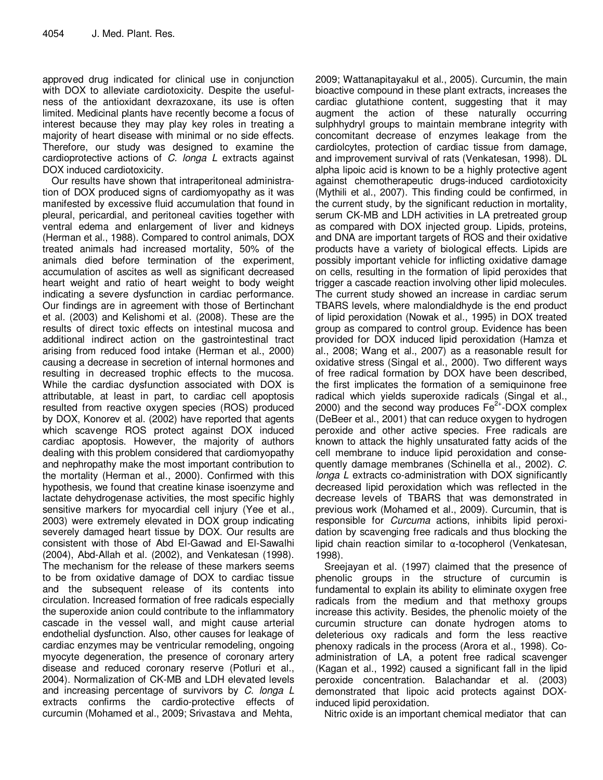approved drug indicated for clinical use in conjunction with DOX to alleviate cardiotoxicity. Despite the usefulness of the antioxidant dexrazoxane, its use is often limited. Medicinal plants have recently become a focus of interest because they may play key roles in treating a majority of heart disease with minimal or no side effects. Therefore, our study was designed to examine the cardioprotective actions of C. longa L extracts against DOX induced cardiotoxicity.

Our results have shown that intraperitoneal administration of DOX produced signs of cardiomyopathy as it was manifested by excessive fluid accumulation that found in pleural, pericardial, and peritoneal cavities together with ventral edema and enlargement of liver and kidneys (Herman et al., 1988). Compared to control animals, DOX treated animals had increased mortality, 50% of the animals died before termination of the experiment, accumulation of ascites as well as significant decreased heart weight and ratio of heart weight to body weight indicating a severe dysfunction in cardiac performance. Our findings are in agreement with those of Bertinchant et al. (2003) and Kelishomi et al. (2008). These are the results of direct toxic effects on intestinal mucosa and additional indirect action on the gastrointestinal tract arising from reduced food intake (Herman et al., 2000) causing a decrease in secretion of internal hormones and resulting in decreased trophic effects to the mucosa. While the cardiac dysfunction associated with DOX is attributable, at least in part, to cardiac cell apoptosis resulted from reactive oxygen species (ROS) produced by DOX, Konorev et al. (2002) have reported that agents which scavenge ROS protect against DOX induced cardiac apoptosis. However, the majority of authors dealing with this problem considered that cardiomyopathy and nephropathy make the most important contribution to the mortality (Herman et al., 2000). Confirmed with this hypothesis, we found that creatine kinase isoenzyme and lactate dehydrogenase activities, the most specific highly sensitive markers for myocardial cell injury (Yee et al., 2003) were extremely elevated in DOX group indicating severely damaged heart tissue by DOX. Our results are consistent with those of Abd El-Gawad and El-Sawalhi (2004), Abd-Allah et al. (2002), and Venkatesan (1998). The mechanism for the release of these markers seems to be from oxidative damage of DOX to cardiac tissue and the subsequent release of its contents into circulation. Increased formation of free radicals especially the superoxide anion could contribute to the inflammatory cascade in the vessel wall, and might cause arterial endothelial dysfunction. Also, other causes for leakage of cardiac enzymes may be ventricular remodeling, ongoing myocyte degeneration, the presence of coronary artery disease and reduced coronary reserve (Potluri et al., 2004). Normalization of CK-MB and LDH elevated levels and increasing percentage of survivors by C. longa L extracts confirms the cardio-protective effects of curcumin (Mohamed et al., 2009; Srivastava and Mehta,

2009; Wattanapitayakul et al., 2005). Curcumin, the main bioactive compound in these plant extracts, increases the cardiac glutathione content, suggesting that it may augment the action of these naturally occurring sulphhydryl groups to maintain membrane integrity with concomitant decrease of enzymes leakage from the cardiolcytes, protection of cardiac tissue from damage, and improvement survival of rats (Venkatesan, 1998). DL alpha lipoic acid is known to be a highly protective agent against chemotherapeutic drugs-induced cardiotoxicity (Mythili et al., 2007). This finding could be confirmed, in the current study, by the significant reduction in mortality, serum CK-MB and LDH activities in LA pretreated group as compared with DOX injected group. Lipids, proteins, and DNA are important targets of ROS and their oxidative products have a variety of biological effects. Lipids are possibly important vehicle for inflicting oxidative damage on cells, resulting in the formation of lipid peroxides that trigger a cascade reaction involving other lipid molecules. The current study showed an increase in cardiac serum TBARS levels, where malondialdhyde is the end product of lipid peroxidation (Nowak et al., 1995) in DOX treated group as compared to control group. Evidence has been provided for DOX induced lipid peroxidation (Hamza et al., 2008; Wang et al., 2007) as a reasonable result for oxidative stress (Singal et al., 2000). Two different ways of free radical formation by DOX have been described, the first implicates the formation of a semiquinone free radical which yields superoxide radicals (Singal et al., 2000) and the second way produces  $Fe^{2+}$ -DOX complex (DeBeer et al., 2001) that can reduce oxygen to hydrogen peroxide and other active species. Free radicals are known to attack the highly unsaturated fatty acids of the cell membrane to induce lipid peroxidation and consequently damage membranes (Schinella et al., 2002). C. longa L extracts co-administration with DOX significantly decreased lipid peroxidation which was reflected in the decrease levels of TBARS that was demonstrated in previous work (Mohamed et al., 2009). Curcumin, that is responsible for Curcuma actions, inhibits lipid peroxidation by scavenging free radicals and thus blocking the lipid chain reaction similar to α-tocopherol (Venkatesan, 1998).

Sreejayan et al. (1997) claimed that the presence of phenolic groups in the structure of curcumin is fundamental to explain its ability to eliminate oxygen free radicals from the medium and that methoxy groups increase this activity. Besides, the phenolic moiety of the curcumin structure can donate hydrogen atoms to deleterious oxy radicals and form the less reactive phenoxy radicals in the process (Arora et al., 1998). Coadministration of LA, a potent free radical scavenger (Kagan et al., 1992) caused a significant fall in the lipid peroxide concentration. Balachandar et al. (2003) demonstrated that lipoic acid protects against DOXinduced lipid peroxidation.

Nitric oxide is an important chemical mediator that can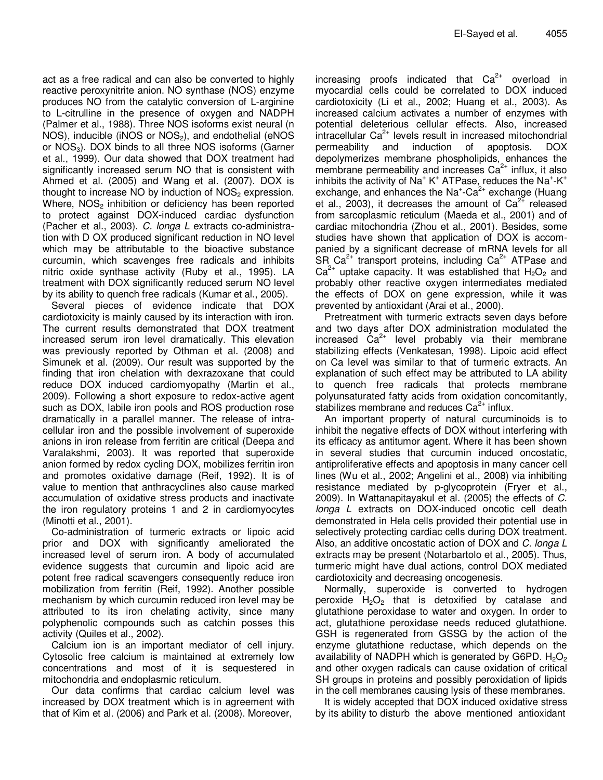act as a free radical and can also be converted to highly reactive peroxynitrite anion. NO synthase (NOS) enzyme produces NO from the catalytic conversion of L-arginine to L-citrulline in the presence of oxygen and NADPH (Palmer et al., 1988). Three NOS isoforms exist neural (n NOS), inducible (iNOS or  $NOS<sub>2</sub>$ ), and endothelial (eNOS or  $NOS<sub>3</sub>$ ). DOX binds to all three NOS isoforms (Garner et al., 1999). Our data showed that DOX treatment had significantly increased serum NO that is consistent with Ahmed et al. (2005) and Wang et al. (2007). DOX is thought to increase NO by induction of  $NOS<sub>2</sub>$  expression. Where,  $NOS<sub>2</sub>$  inhibition or deficiency has been reported to protect against DOX-induced cardiac dysfunction (Pacher et al., 2003). C. longa L extracts co-administration with D OX produced significant reduction in NO level which may be attributable to the bioactive substance curcumin, which scavenges free radicals and inhibits nitric oxide synthase activity (Ruby et al., 1995). LA treatment with DOX significantly reduced serum NO level by its ability to quench free radicals (Kumar et al., 2005).

Several pieces of evidence indicate that DOX cardiotoxicity is mainly caused by its interaction with iron. The current results demonstrated that DOX treatment increased serum iron level dramatically. This elevation was previously reported by Othman et al. (2008) and Simunek et al. (2009). Our result was supported by the finding that iron chelation with dexrazoxane that could reduce DOX induced cardiomyopathy (Martin et al., 2009). Following a short exposure to redox-active agent such as DOX, labile iron pools and ROS production rose dramatically in a parallel manner. The release of intracellular iron and the possible involvement of superoxide anions in iron release from ferritin are critical (Deepa and Varalakshmi, 2003). It was reported that superoxide anion formed by redox cycling DOX, mobilizes ferritin iron and promotes oxidative damage (Reif, 1992). It is of value to mention that anthracyclines also cause marked accumulation of oxidative stress products and inactivate the iron regulatory proteins 1 and 2 in cardiomyocytes (Minotti et al., 2001).

Co-administration of turmeric extracts or lipoic acid prior and DOX with significantly ameliorated the increased level of serum iron. A body of accumulated evidence suggests that curcumin and lipoic acid are potent free radical scavengers consequently reduce iron mobilization from ferritin (Reif, 1992). Another possible mechanism by which curcumin reduced iron level may be attributed to its iron chelating activity, since many polyphenolic compounds such as catchin posses this activity (Quiles et al., 2002).

Calcium ion is an important mediator of cell injury. Cytosolic free calcium is maintained at extremely low concentrations and most of it is sequestered in mitochondria and endoplasmic reticulum.

Our data confirms that cardiac calcium level was increased by DOX treatment which is in agreement with that of Kim et al. (2006) and Park et al. (2008). Moreover,

increasing proofs indicated that  $Ca^{2+}$  overload in myocardial cells could be correlated to DOX induced cardiotoxicity (Li et al., 2002; Huang et al., 2003). As increased calcium activates a number of enzymes with potential deleterious cellular effects. Also, increased  $intrac{e^{2}}{1}$  levels result in increased mitochondrial permeability and induction of apoptosis. DOX depolymerizes membrane phospholipids, enhances the membrane permeability and increases  $Ca<sup>2+</sup>$  influx, it also inhibits the activity of  $Na^+K^+$  ATPase, reduces the Na<sup>+</sup>-K<sup>+</sup> exchange, and enhances the  $Na<sup>+</sup>-Ca<sup>2+</sup>$  exchange (Huang et al., 2003), it decreases the amount of  $Ca<sup>2+</sup>$  released from sarcoplasmic reticulum (Maeda et al., 2001) and of cardiac mitochondria (Zhou et al., 2001). Besides, some studies have shown that application of DOX is accompanied by a significant decrease of mRNA levels for all SR Ca<sup>2+</sup> transport proteins, including  $Ca<sup>2+</sup>$  ATPase and  $Ca^{2+}$  uptake capacity. It was established that  $H_2O_2$  and probably other reactive oxygen intermediates mediated the effects of DOX on gene expression, while it was prevented by antioxidant (Arai et al., 2000).

Pretreatment with turmeric extracts seven days before and two days after DOX administration modulated the increased  $Ca^{2+}$  level probably via their membrane stabilizing effects (Venkatesan, 1998). Lipoic acid effect on Ca level was similar to that of turmeric extracts. An explanation of such effect may be attributed to LA ability to quench free radicals that protects membrane polyunsaturated fatty acids from oxidation concomitantly, stabilizes membrane and reduces  $Ca<sup>2+</sup>$  influx.

An important property of natural curcuminoids is to inhibit the negative effects of DOX without interfering with its efficacy as antitumor agent. Where it has been shown in several studies that curcumin induced oncostatic, antiproliferative effects and apoptosis in many cancer cell lines (Wu et al., 2002; Angelini et al., 2008) via inhibiting resistance mediated by p-glycoprotein (Fryer et al., 2009). In Wattanapitayakul et al. (2005) the effects of C. longa L extracts on DOX-induced oncotic cell death demonstrated in Hela cells provided their potential use in selectively protecting cardiac cells during DOX treatment. Also, an additive oncostatic action of DOX and C. longa L extracts may be present (Notarbartolo et al., 2005). Thus, turmeric might have dual actions, control DOX mediated cardiotoxicity and decreasing oncogenesis.

Normally, superoxide is converted to hydrogen peroxide  $H_2O_2$  that is detoxified by catalase and glutathione peroxidase to water and oxygen. In order to act, glutathione peroxidase needs reduced glutathione. GSH is regenerated from GSSG by the action of the enzyme glutathione reductase, which depends on the availability of NADPH which is generated by G6PD.  $H_2O_2$ and other oxygen radicals can cause oxidation of critical SH groups in proteins and possibly peroxidation of lipids in the cell membranes causing lysis of these membranes.

It is widely accepted that DOX induced oxidative stress by its ability to disturb the above mentioned antioxidant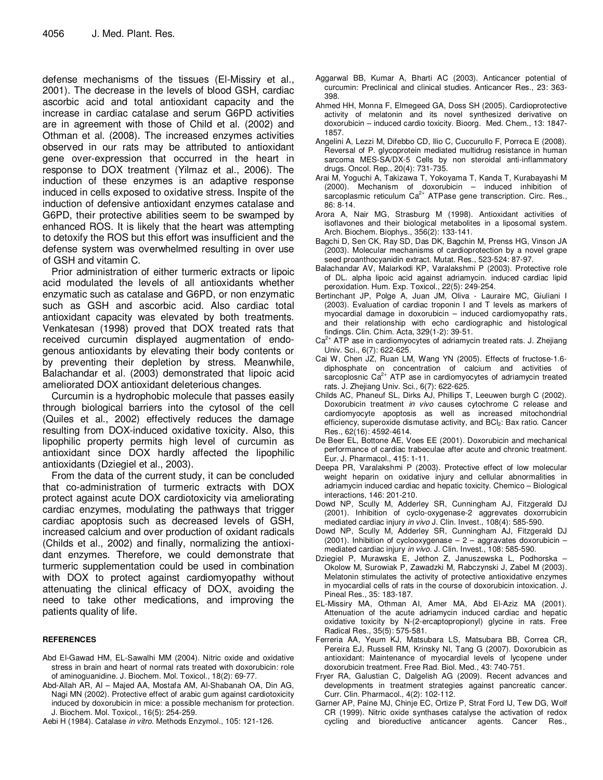defense mechanisms of the tissues (El-Missiry et al., 2001). The decrease in the levels of blood GSH, cardiac ascorbic acid and total antioxidant capacity and the increase in cardiac catalase and serum G6PD activities are in agreement with those of Child et al. (2002) and Othman et al. (2008). The increased enzymes activities observed in our rats may be attributed to antioxidant gene over-expression that occurred in the heart in response to DOX treatment (Yilmaz et al., 2006). The induction of these enzymes is an adaptive response induced in cells exposed to oxidative stress. Inspite of the induction of defensive antioxidant enzymes catalase and G6PD, their protective abilities seem to be swamped by enhanced ROS. It is likely that the heart was attempting to detoxify the ROS but this effort was insufficient and the defense system was overwhelmed resulting in over use of GSH and vitamin C.

Prior administration of either turmeric extracts or lipoic acid modulated the levels of all antioxidants whether enzymatic such as catalase and G6PD, or non enzymatic such as GSH and ascorbic acid. Also cardiac total antioxidant capacity was elevated by both treatments. Venkatesan (1998) proved that DOX treated rats that received curcumin displayed augmentation of endogenous antioxidants by elevating their body contents or by preventing their depletion by stress. Meanwhile, Balachandar et al. (2003) demonstrated that lipoic acid ameliorated DOX antioxidant deleterious changes.

Curcumin is a hydrophobic molecule that passes easily through biological barriers into the cytosol of the cell (Quiles et al., 2002) effectively reduces the damage resulting from DOX-induced oxidative toxicity. Also, this lipophilic property permits high level of curcumin as antioxidant since DOX hardly affected the lipophilic antioxidants (Dziegiel et al., 2003).

From the data of the current study, it can be concluded that co-administration of turmeric extracts with DOX protect against acute DOX cardiotoxicity via ameliorating cardiac enzymes, modulating the pathways that trigger cardiac apoptosis such as decreased levels of GSH, increased calcium and over production of oxidant radicals (Childs et al., 2002) and finally, normalizing the antioxidant enzymes. Therefore, we could demonstrate that turmeric supplementation could be used in combination with DOX to protect against cardiomyopathy without attenuating the clinical efficacy of DOX, avoiding the need to take other medications, and improving the patients quality of life.

#### **REFERENCES**

- Abd El-Gawad HM, EL-Sawalhi MM (2004). Nitric oxide and oxidative stress in brain and heart of normal rats treated with doxorubicin: role of aminoguanidine. J. Biochem. Mol. Toxicol., 18(2): 69-77.
- Abd-Allah AR, Al Majed AA, Mostafa AM, Al-Shabanah OA, Din AG, Nagi MN (2002). Protective effect of arabic gum against cardiotoxicity induced by doxorubicin in mice: a possible mechanism for protection. J. Biochem. Mol. Toxicol., 16(5): 254-259.
- Aebi H (1984). Catalase in vitro. Methods Enzymol., 105: 121-126.
- Aggarwal BB, Kumar A, Bharti AC (2003). Anticancer potential of curcumin: Preclinical and clinical studies. Anticancer Res., 23: 363- 398.
- Ahmed HH, Monna F, Elmegeed GA, Doss SH (2005). Cardioprotective activity of melatonin and its novel synthesized derivative on doxorubicin – induced cardio toxicity. Bioorg. Med. Chem., 13: 1847- 1857.
- Angelini A, Lezzi M, Difebbo CD, Ilio C, Cuccurullo F, Porreca E (2008). Reversal of P. glycoprotein mediated multidrug resistance in human sarcoma MES-SA/DX-5 Cells by non steroidal anti-inflammatory drugs. Oncol. Rep., 20(4): 731-735.
- Arai M, Yoguchi A, Takizawa T, Yokoyama T, Kanda T, Kurabayashi M (2000). Mechanism of doxorubicin – induced inhibition of sarcoplasmic reticulum Ca<sup>2+</sup> ATPase gene transcription. Circ. Res., 86: 8-14.
- Arora A, Nair MG, Strasburg M (1998). Antioxidant activities of isoflavones and their biological metabolites in a liposomal system. Arch. Biochem. Biophys., 356(2): 133-141.
- Bagchi D, Sen CK, Ray SD, Das DK, Bagchin M, Prenss HG, Vinson JA (2003). Molecular mechanisms of cardioprotection by a novel grape seed proanthocyanidin extract. Mutat. Res., 523-524: 87-97.
- Balachandar AV, Malarkodi KP, Varalakshmi P (2003). Protective role of DL. alpha lipoic acid against adriamycin. induced cardiac lipid peroxidation. Hum. Exp. Toxicol., 22(5): 249-254.
- Bertinchant JP, Polge A, Juan JM, Oliva Lauraire MC, Giuliani I (2003). Evaluation of cardiac troponin I and T levels as markers of myocardial damage in doxorubicin – induced cardiomyopathy rats, and their relationship with echo cardiographic and histological findings. Clin. Chim. Acta, 329(1-2): 39-51.
- $Ca<sup>2+</sup> ATP$  ase in cardiomyocytes of adriamycin treated rats. J. Zhejiang Univ. Sci., 6(7): 622-625.
- Cai W, Chen JZ, Ruan LM, Wang YN (2005). Effects of fructose-1.6 diphosphate on concentration of calcium and activities of<br>sarcoplosnic Ca<sup>2+</sup> ATP ase in cardiomyocytes of adriamycin treated rats. J. Zhejiang Univ. Sci., 6(7): 622-625.
- Childs AC, Phaneuf SL, Dirks AJ, Phillips T, Leeuwen burgh C (2002). Doxorubicin treatment in vivo causes cytochrome C release and cardiomyocyte apoptosis as well as increased mitochondrial efficiency, superoxide dismutase activity, and BCI<sub>2</sub>: Bax ratio. Cancer Res., 62(16): 4592-4614.
- De Beer EL, Bottone AE, Voes EE (2001). Doxorubicin and mechanical performance of cardiac trabeculae after acute and chronic treatment. Eur. J. Pharmacol., 415: 1-11.
- Deepa PR, Varalakshmi P (2003). Protective effect of low molecular weight heparin on oxidative injury and cellular abnormalities in adriamycin induced cardiac and hepatic toxicity. Chemico – Biological interactions, 146: 201-210.
- Dowd NP, Scully M, Adderley SR, Cunningham AJ, Fitzgerald DJ (2001). Inhibition of cyclo-oxygenase-2 aggrevates doxorrubicin mediated cardiac injury in vivo J. Clin. Invest., 108(4): 585-590.
- Dowd NP, Scully M, Adderley SR, Cunningham AJ, Fitzgerald DJ (2001). Inhibition of cyclooxygenase  $-2$  – aggravates doxorubicin – mediated cardiac injury in vivo. J. Clin. Invest., 108: 585-590.
- Dziegiel P, Murawska E, Jethon Z, Januszewska L, Podhorska Okolow M, Surowiak P, Zawadzki M, Rabczynski J, Zabel M (2003). Melatonin stimulates the activity of protective antioxidative enzymes in myocardial cells of rats in the course of doxorubicin intoxication. J. Pineal Res., 35: 183-187.
- EL-Missiry MA, Othman AI, Amer MA, Abd El-Aziz MA (2001). Attenuation of the acute adriamycin induced cardiac and hepatic oxidative toxicity by N-(2-ercaptopropionyl) glycine in rats. Free Radical Res., 35(5): 575-581.
- Ferreria AA, Yeum KJ, Matsubara LS, Matsubara BB, Correa CR, Pereira EJ, Russell RM, Krinsky NI, Tang G (2007). Doxorubicin as antioxidant: Maintenance of myocardial levels of lycopene under doxorubicin treatment. Free Rad. Biol. Med., 43: 740-751.
- Fryer RA, Galustian C, Dalgelish AG (2009). Recent advances and developments in treatment strategies against pancreatic cancer. Curr. Clin. Pharmacol., 4(2): 102-112.
- Garner AP, Paine MJ, Chinje EC, Ortize P, Strat Ford IJ, Tew DG, Wolf CR (1999). Nitric oxide synthases catalyse the activation of redox cycling and bioreductive anticancer agents. Cancer Res.,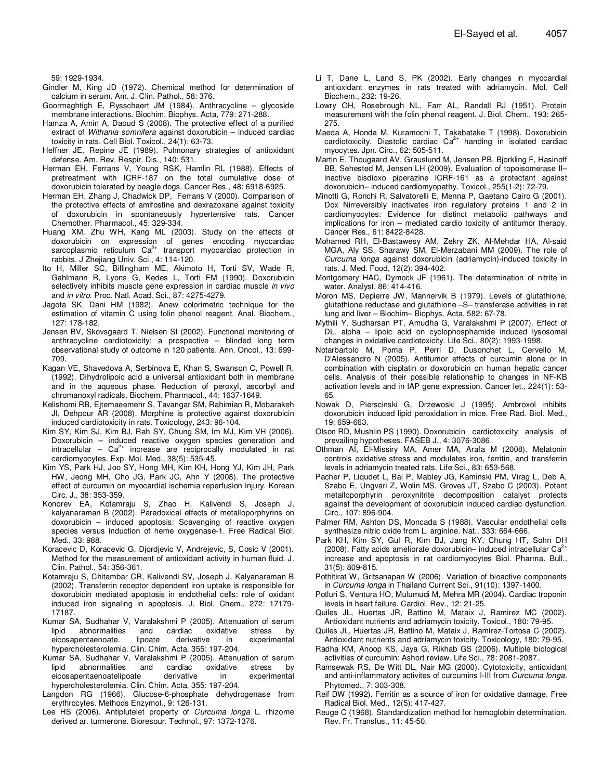59: 1929-1934.

- Gindler M, King JD (1972). Chemical method for determination of calcium in serum. Am. J. Clin. Pathol., 58: 376.
- Goormaghtigh E, Rysschaert JM (1984). Anthracycline glycoside membrane interactions. Biochim. Biophys. Acta, 779: 271-288.
- Hamza A, Amin A, Daoud S (2008). The protective effect of a purified extract of Withania somnifera against doxorubicin – induced cardiac toxicity in rats. Cell Biol. Toxicol., 24(1): 63-73.
- Heffner JE, Repine JE (1989). Pulmonary strategies of antioxidant defense. Am. Rev. Respir. Dis., 140: 531.
- Herman EH, Ferrans V, Young RSK, Hamlin RL (1988). Effects of pretreatment with ICRF-187 on the total cumulative dose of doxorubicin tolerated by beagle dogs. Cancer Res., 48: 6918-6925.
- Herman EH, Zhang J, Chadwick DP, Ferrans V (2000). Comparison of the protective effects of amifostine and dexrazoxane against toxicity of doxorubicin in spontaneously hypertensive rats. Cancer Chemother. Pharmacol., 45: 329-334.
- Huang XM, Zhu WH, Kang ML (2003). Study on the effects of doxorubicin on expression of genes encoding myocardiac sarcoplasmic reticulum  $Ca^{2+}$  transport myocardiac protection in rabbits. J Zhejiang Univ. Sci., 4: 114-120.
- Ito H, Miller SC, Billingham ME, Akimoto H, Torti SV, Wade R, Gahlmann R, Lyons G, Kedes L, Torti FM (1990). Doxorubicin selectively inhibits muscle gene expression in cardiac muscle in vivo and in vitro. Proc. Natl. Acad. Sci., 87: 4275-4279.
- Jagota SK, Dani HM (1982). Anew colorimetric technique for the estimation of vitamin C using folin phenol reagent. Anal. Biochem., 127: 178-182.
- Jensen BV, Skovsgaard T, Nielsen SI (2002). Functional monitoring of anthracycline cardiotoxicity: a prospective – blinded long term observational study of outcome in 120 patients. Ann. Oncol., 13: 699- 709.
- Kagan VE, Shavedova A, Serbinova E, Khan S, Swanson C, Powell R. (1992). Dihydrolipoic acid a universal antioxidant both in membrane and in the aqueous phase. Reduction of peroxyl, ascorbyl and chromanoxyl radicals. Biochem. Pharmacol., 44: 1637-1649.
- Kelishomi RB, Ejtemaeemehr S, Tavangar SM, Rahimian R, Mobarakeh JI, Dehpour AR (2008). Morphine is protective against doxorubicin induced cardiotoxicity in rats. Toxicology, 243: 96-104.
- Kim SY, Kim SJ, Kim BJ, Rah SY, Chung SM, Im MJ, Kim VH (2006). Doxorubicin – induced reactive oxygen species generation and intracellular –  $Ca^{2+}$  increase are reciprocally modulated in rat cardiomyocytes. Exp. Mol. Med., 38(5): 535-45.
- Kim YS, Park HJ, Joo SY, Hong MH, Kim KH, Hong YJ, Kim JH, Park HW, Jeong MH, Cho JG, Park JC, Ahn Y (2008). The protective effect of curcumin on myocardial ischemia reperfusion injury. Korean Circ. J., 38: 353-359.
- Konorev EA, Kotamraju S, Zhao H, Kalivendi S, Joseph J, kalyanaraman B (2002). Paradoxical effects of metalloporphyrins on doxorubicin – induced apoptosis: Scavenging of reactive oxygen species versus induction of heme oxygenase-1. Free Radical Biol. Med., 33: 988.
- Koracevic D, Koracevic G, Djordjevic V, Andrejevic, S, Cosic V (2001). Method for the measurement of antioxidant activity in human fluid. J. Clin. Pathol., 54: 356-361.
- Kotamraju S, Chitambar CR, Kalivendi SV, Joseph J, Kalyanaraman B (2002). Transferrin receptor dependent iron uptake is responsible for doxorubicin mediated apoptosis in endothelial cells: role of oxidant induced iron signaling in apoptosis. J. Biol. Chem., 272: 17179- 17187.
- Kumar SA, Sudhahar V, Varalakshmi P (2005). Attenuation of serum lipid abnormalities and cardiac oxidative stress by<br>eicosapentaenoate. lipoate derivative in experimental eicosapentaenoate. lipoate derivative in hypercholesterolemia. Clin. Chim. Acta, 355: 197-204.
- Kumar SA, Sudhahar V, Varalakshmi P (2005). Attenuation of serum lipid abnormalities and cardiac oxidative stress by<br>eicosapentaenoatelipoate derivative in experimental eicosapentaenoatelipoate derivative in hypercholesterolemia. Clin. Chim. Acta, 355: 197-204.
- Langdon RG (1966). Glucose-6-phosphate dehydrogenase from erythrocytes. Methods Enzymol., 9: 126-131.
- Lee HS (2006). Antiplutelet property of Curcuma longa L. rhizome derived ar. turmerone. Bioresour. Technol., 97: 1372-1376.
- Li T, Dane L, Land S, PK (2002). Early changes in myocardial antioxidant enzymes in rats treated with adriamycin. Mol. Cell Biochem., 232: 19-26.
- Lowry OH, Rosebrough NL, Farr AL, Randall RJ (1951). Protein measurement with the folin phenol reagent. J. Biol. Chem., 193: 265- 275.
- Maeda A, Honda M, Kuramochi T, Takabatake T (1998). Doxorubicin cardiotoxicity. Diastolic cardiac  $Ca<sup>2+</sup>$  handing in isolated cardiac myocytes. Jpn. Circ., 62: 505-511.
- Martin E, Thougaard AV, Grauslund M, Jensen PB, Bjorkling F, Hasinoff BB, Sehested M, Jensen LH (2009). Evaluation of topoisomerase II– inactive bisdioxo piperazine ICRF-161 as a protectant against doxorubicin– induced cardiomyopathy. Toxicol., 255(1-2): 72-79.
- Minotti G, Ronchi R, Salvatorelli E, Menna P, Gaetano Cairo G (2001). Dox Nirreversibly inactivates iron regulatory proteins 1 and 2 in cardiomyocytes: Evidence for distinct metabolic pathways and implications for iron – mediated cardio toxicity of antitumor therapy. Cancer Res., 61: 8422-8428.
- Mohamed RH, El-Bastawesy AM, Zekry ZK, Al-Mehdar HA, Al-said MGA, Aly SS, Sharawy SM, El-Merzabani MM (2009). The role of Curcuma longa against doxorubicin (adriamycin)-induced toxicity in rats. J. Med. Food, 12(2): 394-402.
- Montgomery HAC, Dymock JF (1961). The determination of nitrite in water. Analyst, 86: 414-416.
- Moron MS, Depierre JW, Mannervik B (1979). Levels of glutathione, glutathione reductase and glutathione –S– transferase activities in rat lung and liver – Biochim– Biophys. Acta, 582: 67-78.
- Mythili Y, Sudharsan PT, Amudha G, Varalakshmi P (2007). Effect of DL. alpha – lipoic acid on cyclophosphamide induced lysosomal changes in oxidative cardiotoxicity. Life Sci., 80(2): 1993-1998.
- Notarbartolo M, Poma P, Perri D, Dusonchet L, Cervello M, D'Alessandro N (2005). Antitumor effects of curcumin alone or in combination with cisplatin or doxorubicin on human hepatic cancer cells. Analysis of their possible relationship to changes in NF-KB activation levels and in IAP gene expression. Cancer let., 224(1): 53- 65.
- Nowak D, Pierscinski G, Drzewoski J (1995). Ambroxol inhibits doxorubicin induced lipid peroxidation in mice. Free Rad. Biol. Med., 19: 659-663.
- Olson RD, Mushlin PS (1990). Doxorubicin cardiotoxicity analysis of prevailing hypotheses. FASEB J., 4: 3076-3086.
- Othman AI, El-Missiry MA, Amer MA, Arafa M (2008). Melatonin controls oxidative stress and modulates iron, ferritin, and transferrin levels in adriamycin treated rats. Life Sci., 83: 653-568.
- Pacher P, Liqudet L, Bai P, Mabley JG, Kaminski PM, Virag L, Deb A, Szabo E, Ungvari Z, Wolin MS, Groves JT, Szabo C (2003). Potent metalloporphyrin peroxynitrite decomposition catalyst protects against the development of doxorubicin induced cardiac dysfunction. Circ., 107: 896-904.
- Palmer RM, Ashton DS, Moncada S (1988). Vascular endothelial cells synthesize nitric oxide from L. arginine. Nat., 333: 664-666.
- Park KH, Kim SY, Gul R, Kim BJ, Jang KY, Chung HT, Sohn DH (2008). Fatty acids ameliorate doxorubicin– induced intracellular  $Ca^{2+}$ increase and apoptosis in rat cardiomyocytes Biol. Pharma. Bull., 31(5): 809-815.
- Pothitirat W, Gritsanapan W (2006). Variation of bioactive components in Curcuma longa in Thailand Current Sci., 91(10): 1397-1400.
- Potluri S, Ventura HO, Mulumudi M, Mehra MR (2004). Cardiac troponin levels in heart failure. Cardiol. Rev., 12: 21-25.
- Quiles JL, Huertas JR, Battino M, Mataix J, Ramirez MC (2002). Antioxidant nutrients and adriamycin toxicity. Toxicol., 180: 79-95.
- Quiles JL, Huertas JR, Battino M, Mataix J, Ramirez-Tortosa C (2002). Antioxidant nutrients and adriamycin toxicity. Toxicology, 180: 79-95.
- Radha KM, Anoop KS, Jaya G, Rikhab GS (2006). Multiple biological activities of curcumin: Ashort review. Life Sci., 78: 2081-2087.
- Ramsewak RS, De Witt DL, Nair MG (2000). Cytotoxicity, antioxidant and anti-inflammatory activites of curcumins I-III from Curcuma longa. Phytomed., 7: 303-308.
- Reif DW (1992). Ferritin as a source of iron for oxidative damage. Free Radical Biol. Med., 12(5): 417-427.
- Reuge C (1968). Standardization method for hemoglobin determination. Rev. Fr. Transfus., 11: 45-50.